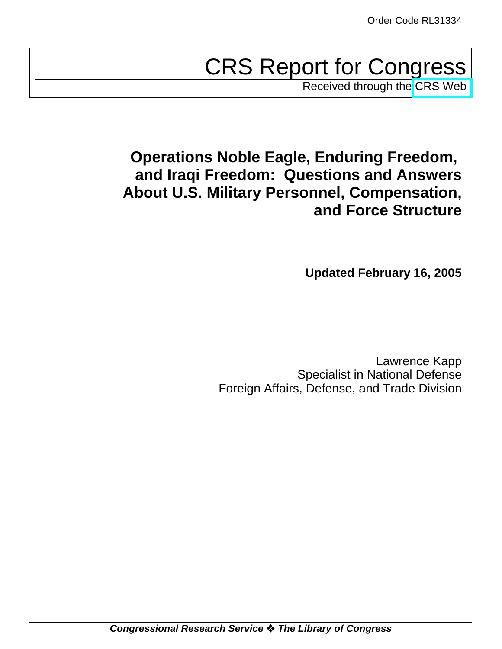# CRS Report for Congress

Received through the [CRS Web](http://www.fas.org/sgp/crs/natsec/index.html)

# **Operations Noble Eagle, Enduring Freedom, and Iraqi Freedom: Questions and Answers About U.S. Military Personnel, Compensation, and Force Structure**

**Updated February 16, 2005**

Lawrence Kapp Specialist in National Defense Foreign Affairs, Defense, and Trade Division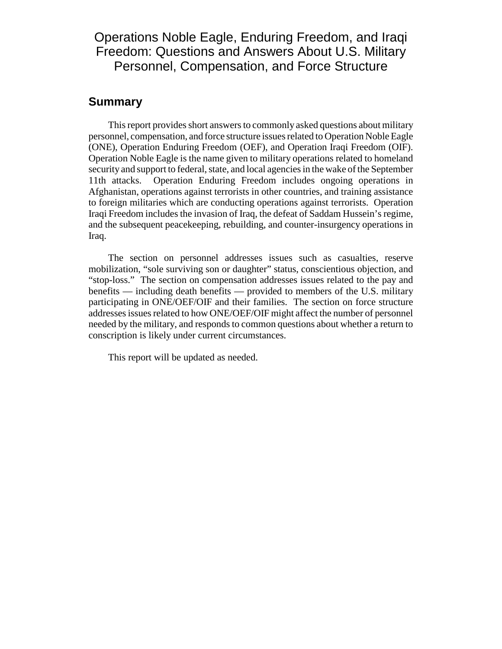# Operations Noble Eagle, Enduring Freedom, and Iraqi Freedom: Questions and Answers About U.S. Military Personnel, Compensation, and Force Structure

#### **Summary**

This report provides short answers to commonly asked questions about military personnel, compensation, and force structure issues related to Operation Noble Eagle (ONE), Operation Enduring Freedom (OEF), and Operation Iraqi Freedom (OIF). Operation Noble Eagle is the name given to military operations related to homeland security and support to federal, state, and local agencies in the wake of the September 11th attacks. Operation Enduring Freedom includes ongoing operations in Afghanistan, operations against terrorists in other countries, and training assistance to foreign militaries which are conducting operations against terrorists. Operation Iraqi Freedom includes the invasion of Iraq, the defeat of Saddam Hussein's regime, and the subsequent peacekeeping, rebuilding, and counter-insurgency operations in Iraq.

The section on personnel addresses issues such as casualties, reserve mobilization, "sole surviving son or daughter" status, conscientious objection, and "stop-loss." The section on compensation addresses issues related to the pay and benefits — including death benefits — provided to members of the U.S. military participating in ONE/OEF/OIF and their families. The section on force structure addresses issues related to how ONE/OEF/OIF might affect the number of personnel needed by the military, and responds to common questions about whether a return to conscription is likely under current circumstances.

This report will be updated as needed.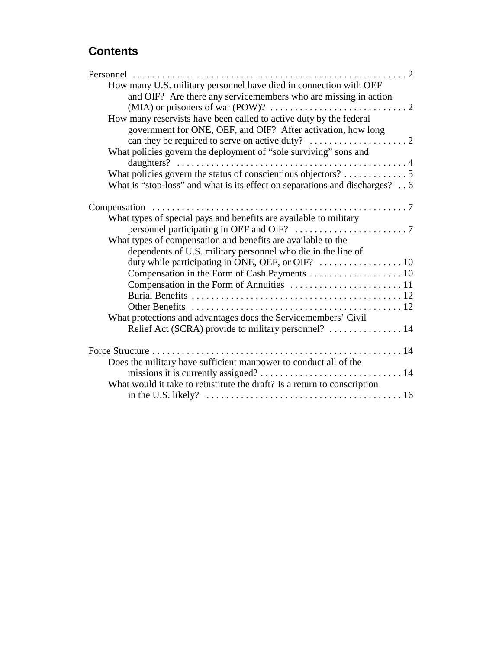# **Contents**

| How many U.S. military personnel have died in connection with OEF                     |
|---------------------------------------------------------------------------------------|
| and OIF? Are there any servicemembers who are missing in action                       |
| (MIA) or prisoners of war (POW)? $\dots\dots\dots\dots\dots\dots\dots\dots\dots\dots$ |
| How many reservists have been called to active duty by the federal                    |
| government for ONE, OEF, and OIF? After activation, how long                          |
| can they be required to serve on active duty? $\dots \dots \dots \dots \dots \dots$   |
| What policies govern the deployment of "sole surviving" sons and                      |
|                                                                                       |
|                                                                                       |
| What is "stop-loss" and what is its effect on separations and discharges? 6           |
|                                                                                       |
| What types of special pays and benefits are available to military                     |
|                                                                                       |
| What types of compensation and benefits are available to the                          |
| dependents of U.S. military personnel who die in the line of                          |
|                                                                                       |
|                                                                                       |
|                                                                                       |
|                                                                                       |
|                                                                                       |
| What protections and advantages does the Servicemembers' Civil                        |
| Relief Act (SCRA) provide to military personnel?  14                                  |
|                                                                                       |
| Does the military have sufficient manpower to conduct all of the                      |
|                                                                                       |
| What would it take to reinstitute the draft? Is a return to conscription              |
|                                                                                       |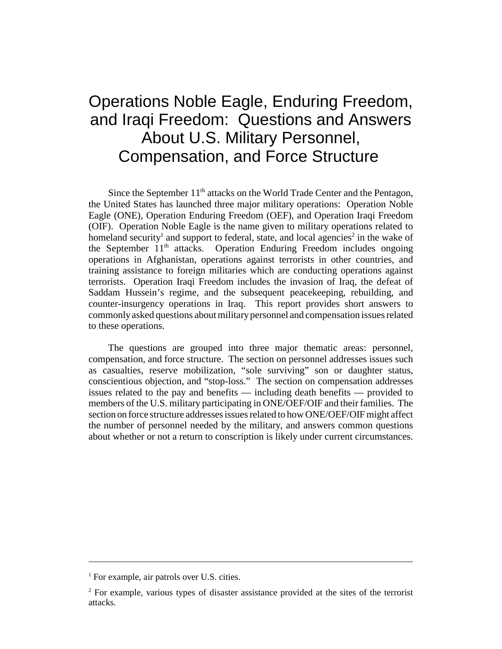# Operations Noble Eagle, Enduring Freedom, and Iraqi Freedom: Questions and Answers About U.S. Military Personnel, Compensation, and Force Structure

Since the September 11<sup>th</sup> attacks on the World Trade Center and the Pentagon, the United States has launched three major military operations: Operation Noble Eagle (ONE), Operation Enduring Freedom (OEF), and Operation Iraqi Freedom (OIF). Operation Noble Eagle is the name given to military operations related to homeland security<sup>1</sup> and support to federal, state, and local agencies<sup>2</sup> in the wake of the September  $11<sup>th</sup>$  attacks. Operation Enduring Freedom includes ongoing operations in Afghanistan, operations against terrorists in other countries, and training assistance to foreign militaries which are conducting operations against terrorists. Operation Iraqi Freedom includes the invasion of Iraq, the defeat of Saddam Hussein's regime, and the subsequent peacekeeping, rebuilding, and counter-insurgency operations in Iraq. This report provides short answers to commonly asked questions about military personnel and compensation issues related to these operations.

The questions are grouped into three major thematic areas: personnel, compensation, and force structure. The section on personnel addresses issues such as casualties, reserve mobilization, "sole surviving" son or daughter status, conscientious objection, and "stop-loss." The section on compensation addresses issues related to the pay and benefits — including death benefits — provided to members of the U.S. military participating in ONE/OEF/OIF and their families. The section on force structure addresses issues related to how ONE/OEF/OIF might affect the number of personnel needed by the military, and answers common questions about whether or not a return to conscription is likely under current circumstances.

<sup>&</sup>lt;sup>1</sup> For example, air patrols over U.S. cities.

<sup>&</sup>lt;sup>2</sup> For example, various types of disaster assistance provided at the sites of the terrorist attacks.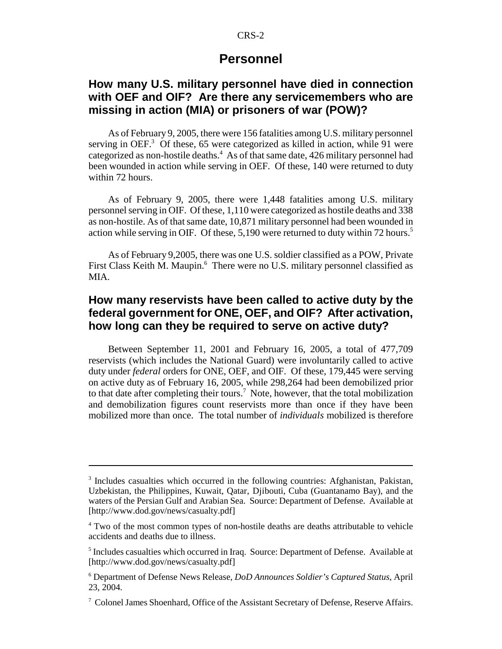#### **Personnel**

#### **How many U.S. military personnel have died in connection with OEF and OIF? Are there any servicemembers who are missing in action (MIA) or prisoners of war (POW)?**

As of February 9, 2005, there were 156 fatalities among U.S. military personnel serving in OEF.<sup>3</sup> Of these, 65 were categorized as killed in action, while 91 were categorized as non-hostile deaths.<sup>4</sup> As of that same date, 426 military personnel had been wounded in action while serving in OEF. Of these, 140 were returned to duty within 72 hours.

As of February 9, 2005, there were 1,448 fatalities among U.S. military personnel serving in OIF. Of these, 1,110 were categorized as hostile deaths and 338 as non-hostile. As of that same date, 10,871 military personnel had been wounded in action while serving in OIF. Of these,  $5,190$  were returned to duty within 72 hours.<sup>5</sup>

As of February 9,2005, there was one U.S. soldier classified as a POW, Private First Class Keith M. Maupin.<sup>6</sup> There were no U.S. military personnel classified as MIA.

# **How many reservists have been called to active duty by the federal government for ONE, OEF, and OIF? After activation, how long can they be required to serve on active duty?**

Between September 11, 2001 and February 16, 2005, a total of 477,709 reservists (which includes the National Guard) were involuntarily called to active duty under *federal* orders for ONE, OEF, and OIF. Of these, 179,445 were serving on active duty as of February 16, 2005, while 298,264 had been demobilized prior to that date after completing their tours.<sup>7</sup> Note, however, that the total mobilization and demobilization figures count reservists more than once if they have been mobilized more than once. The total number of *individuals* mobilized is therefore

<sup>&</sup>lt;sup>3</sup> Includes casualties which occurred in the following countries: Afghanistan, Pakistan, Uzbekistan, the Philippines, Kuwait, Qatar, Djibouti, Cuba (Guantanamo Bay), and the waters of the Persian Gulf and Arabian Sea. Source: Department of Defense. Available at [http://www.dod.gov/news/casualty.pdf]

<sup>&</sup>lt;sup>4</sup> Two of the most common types of non-hostile deaths are deaths attributable to vehicle accidents and deaths due to illness.

<sup>&</sup>lt;sup>5</sup> Includes casualties which occurred in Iraq. Source: Department of Defense. Available at [http://www.dod.gov/news/casualty.pdf]

<sup>6</sup> Department of Defense News Release, *DoD Announces Soldier's Captured Status*, April 23, 2004.

<sup>&</sup>lt;sup>7</sup> Colonel James Shoenhard, Office of the Assistant Secretary of Defense, Reserve Affairs.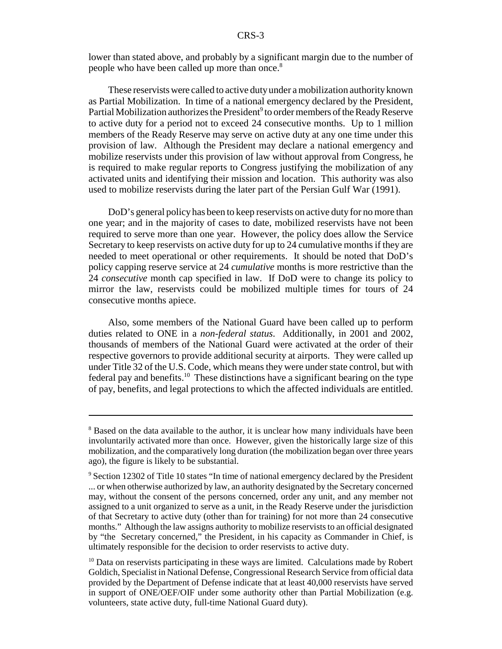lower than stated above, and probably by a significant margin due to the number of people who have been called up more than once.8

These reservists were called to active duty under a mobilization authority known as Partial Mobilization. In time of a national emergency declared by the President, Partial Mobilization authorizes the President<sup>9</sup> to order members of the Ready Reserve to active duty for a period not to exceed 24 consecutive months. Up to 1 million members of the Ready Reserve may serve on active duty at any one time under this provision of law. Although the President may declare a national emergency and mobilize reservists under this provision of law without approval from Congress, he is required to make regular reports to Congress justifying the mobilization of any activated units and identifying their mission and location. This authority was also used to mobilize reservists during the later part of the Persian Gulf War (1991).

DoD's general policy has been to keep reservists on active duty for no more than one year; and in the majority of cases to date, mobilized reservists have not been required to serve more than one year. However, the policy does allow the Service Secretary to keep reservists on active duty for up to 24 cumulative months if they are needed to meet operational or other requirements. It should be noted that DoD's policy capping reserve service at 24 *cumulative* months is more restrictive than the 24 *consecutive* month cap specified in law. If DoD were to change its policy to mirror the law, reservists could be mobilized multiple times for tours of 24 consecutive months apiece.

Also, some members of the National Guard have been called up to perform duties related to ONE in a *non-federal status*. Additionally, in 2001 and 2002, thousands of members of the National Guard were activated at the order of their respective governors to provide additional security at airports. They were called up under Title 32 of the U.S. Code, which means they were under state control, but with federal pay and benefits.<sup>10</sup> These distinctions have a significant bearing on the type of pay, benefits, and legal protections to which the affected individuals are entitled.

<sup>&</sup>lt;sup>8</sup> Based on the data available to the author, it is unclear how many individuals have been involuntarily activated more than once. However, given the historically large size of this mobilization, and the comparatively long duration (the mobilization began over three years ago), the figure is likely to be substantial.

<sup>&</sup>lt;sup>9</sup> Section 12302 of Title 10 states "In time of national emergency declared by the President ... or when otherwise authorized by law, an authority designated by the Secretary concerned may, without the consent of the persons concerned, order any unit, and any member not assigned to a unit organized to serve as a unit, in the Ready Reserve under the jurisdiction of that Secretary to active duty (other than for training) for not more than 24 consecutive months." Although the law assigns authority to mobilize reservists to an official designated by "the Secretary concerned," the President, in his capacity as Commander in Chief, is ultimately responsible for the decision to order reservists to active duty.

 $10$  Data on reservists participating in these ways are limited. Calculations made by Robert Goldich, Specialist in National Defense, Congressional Research Service from official data provided by the Department of Defense indicate that at least 40,000 reservists have served in support of ONE/OEF/OIF under some authority other than Partial Mobilization (e.g. volunteers, state active duty, full-time National Guard duty).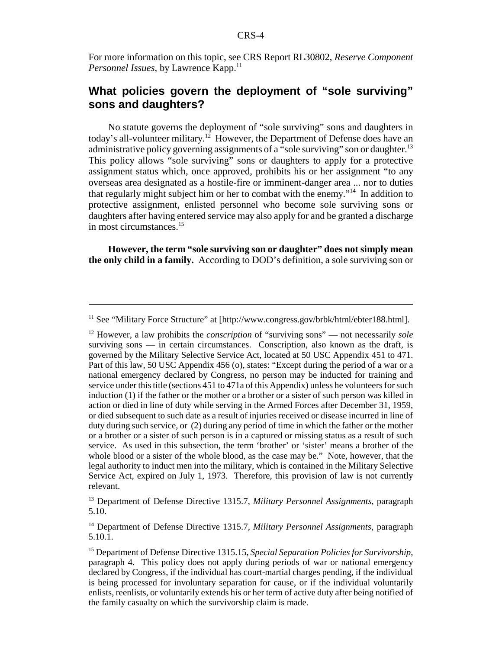For more information on this topic, see CRS Report RL30802, *Reserve Component Personnel Issues*, by Lawrence Kapp.<sup>11</sup>

## **What policies govern the deployment of "sole surviving" sons and daughters?**

No statute governs the deployment of "sole surviving" sons and daughters in today's all-volunteer military.<sup>12</sup> However, the Department of Defense does have an administrative policy governing assignments of a "sole surviving" son or daughter.<sup>13</sup> This policy allows "sole surviving" sons or daughters to apply for a protective assignment status which, once approved, prohibits his or her assignment "to any overseas area designated as a hostile-fire or imminent-danger area ... nor to duties that regularly might subject him or her to combat with the enemy."14 In addition to protective assignment, enlisted personnel who become sole surviving sons or daughters after having entered service may also apply for and be granted a discharge in most circumstances.15

**However, the term "sole surviving son or daughter" does not simply mean the only child in a family.** According to DOD's definition, a sole surviving son or

<sup>11</sup> See "Military Force Structure" at [http://www.congress.gov/brbk/html/ebter188.html].

<sup>12</sup> However, a law prohibits the *conscription* of "surviving sons" — not necessarily *sole* surviving sons — in certain circumstances. Conscription, also known as the draft, is governed by the Military Selective Service Act, located at 50 USC Appendix 451 to 471. Part of this law, 50 USC Appendix 456 (o), states: "Except during the period of a war or a national emergency declared by Congress, no person may be inducted for training and service under this title (sections 451 to 471a of this Appendix) unless he volunteers for such induction (1) if the father or the mother or a brother or a sister of such person was killed in action or died in line of duty while serving in the Armed Forces after December 31, 1959, or died subsequent to such date as a result of injuries received or disease incurred in line of duty during such service, or (2) during any period of time in which the father or the mother or a brother or a sister of such person is in a captured or missing status as a result of such service. As used in this subsection, the term 'brother' or 'sister' means a brother of the whole blood or a sister of the whole blood, as the case may be." Note, however, that the legal authority to induct men into the military, which is contained in the Military Selective Service Act, expired on July 1, 1973. Therefore, this provision of law is not currently relevant.

<sup>13</sup> Department of Defense Directive 1315.7, *Military Personnel Assignments*, paragraph 5.10.

<sup>14</sup> Department of Defense Directive 1315.7, *Military Personnel Assignments*, paragraph  $5.10.\overline{1}$ .

<sup>15</sup> Department of Defense Directive 1315.15, *Special Separation Policies for Survivorship*, paragraph 4. This policy does not apply during periods of war or national emergency declared by Congress, if the individual has court-martial charges pending, if the individual is being processed for involuntary separation for cause, or if the individual voluntarily enlists, reenlists, or voluntarily extends his or her term of active duty after being notified of the family casualty on which the survivorship claim is made.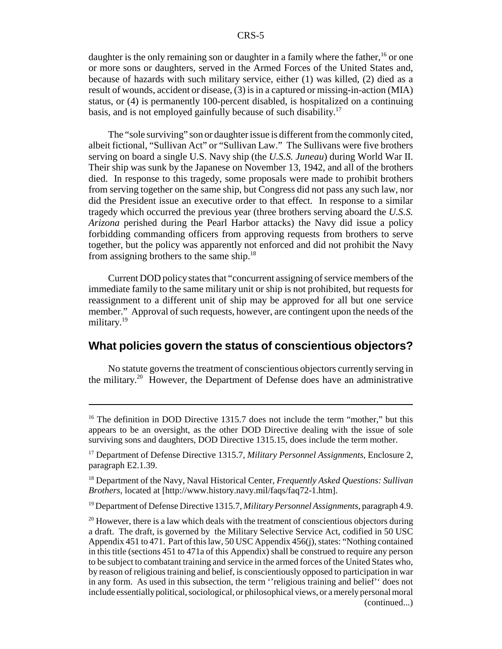daughter is the only remaining son or daughter in a family where the father,  $^{16}$  or one or more sons or daughters, served in the Armed Forces of the United States and, because of hazards with such military service, either (1) was killed, (2) died as a result of wounds, accident or disease, (3) is in a captured or missing-in-action (MIA) status, or (4) is permanently 100-percent disabled, is hospitalized on a continuing basis, and is not employed gainfully because of such disability.<sup>17</sup>

The "sole surviving" son or daughter issue is different from the commonly cited, albeit fictional, "Sullivan Act" or "Sullivan Law." The Sullivans were five brothers serving on board a single U.S. Navy ship (the *U.S.S. Juneau*) during World War II. Their ship was sunk by the Japanese on November 13, 1942, and all of the brothers died. In response to this tragedy, some proposals were made to prohibit brothers from serving together on the same ship, but Congress did not pass any such law, nor did the President issue an executive order to that effect. In response to a similar tragedy which occurred the previous year (three brothers serving aboard the *U.S.S. Arizona* perished during the Pearl Harbor attacks) the Navy did issue a policy forbidding commanding officers from approving requests from brothers to serve together, but the policy was apparently not enforced and did not prohibit the Navy from assigning brothers to the same ship.18

Current DOD policy states that "concurrent assigning of service members of the immediate family to the same military unit or ship is not prohibited, but requests for reassignment to a different unit of ship may be approved for all but one service member." Approval of such requests, however, are contingent upon the needs of the military.<sup>19</sup>

#### **What policies govern the status of conscientious objectors?**

No statute governs the treatment of conscientious objectors currently serving in the military.20 However, the Department of Defense does have an administrative

<sup>&</sup>lt;sup>16</sup> The definition in DOD Directive 1315.7 does not include the term "mother," but this appears to be an oversight, as the other DOD Directive dealing with the issue of sole surviving sons and daughters, DOD Directive 1315.15, does include the term mother.

<sup>17</sup> Department of Defense Directive 1315.7, *Military Personnel Assignments*, Enclosure 2, paragraph E2.1.39.

<sup>18</sup> Department of the Navy, Naval Historical Center, *Frequently Asked Questions: Sullivan Brothers*, located at [http://www.history.navy.mil/faqs/faq72-1.htm].

<sup>19</sup> Department of Defense Directive 1315.7, *Military Personnel Assignments*, paragraph 4.9.

 $20$  However, there is a law which deals with the treatment of conscientious objectors during a draft. The draft, is governed by the Military Selective Service Act, codified in 50 USC Appendix 451 to 471. Part of this law, 50 USC Appendix 456(j), states: "Nothing contained in this title (sections 451 to 471a of this Appendix) shall be construed to require any person to be subject to combatant training and service in the armed forces of the United States who, by reason of religious training and belief, is conscientiously opposed to participation in war in any form. As used in this subsection, the term ''religious training and belief'' does not include essentially political, sociological, or philosophical views, or a merely personal moral (continued...)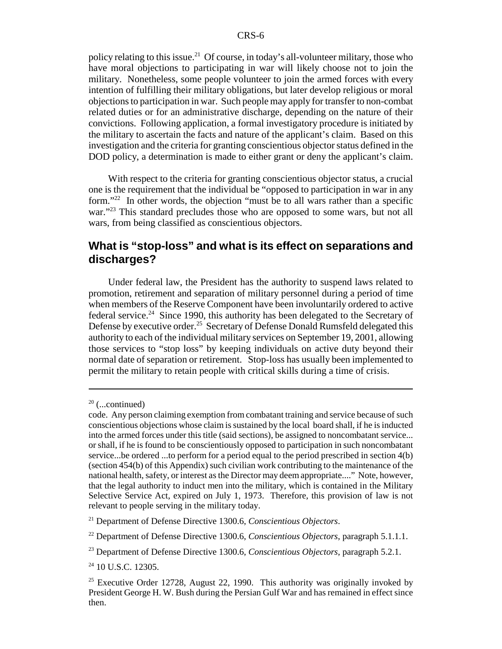policy relating to this issue.<sup>21</sup> Of course, in today's all-volunteer military, those who have moral objections to participating in war will likely choose not to join the military. Nonetheless, some people volunteer to join the armed forces with every intention of fulfilling their military obligations, but later develop religious or moral objections to participation in war. Such people may apply for transfer to non-combat related duties or for an administrative discharge, depending on the nature of their convictions. Following application, a formal investigatory procedure is initiated by the military to ascertain the facts and nature of the applicant's claim. Based on this investigation and the criteria for granting conscientious objector status defined in the DOD policy, a determination is made to either grant or deny the applicant's claim.

With respect to the criteria for granting conscientious objector status, a crucial one is the requirement that the individual be "opposed to participation in war in any form."<sup>22</sup> In other words, the objection "must be to all wars rather than a specific war."<sup>23</sup> This standard precludes those who are opposed to some wars, but not all wars, from being classified as conscientious objectors.

## **What is "stop-loss" and what is its effect on separations and discharges?**

Under federal law, the President has the authority to suspend laws related to promotion, retirement and separation of military personnel during a period of time when members of the Reserve Component have been involuntarily ordered to active federal service.<sup>24</sup> Since 1990, this authority has been delegated to the Secretary of Defense by executive order.<sup>25</sup> Secretary of Defense Donald Rumsfeld delegated this authority to each of the individual military services on September 19, 2001, allowing those services to "stop loss" by keeping individuals on active duty beyond their normal date of separation or retirement. Stop-loss has usually been implemented to permit the military to retain people with critical skills during a time of crisis.

 $20$  (...continued)

code. Any person claiming exemption from combatant training and service because of such conscientious objections whose claim is sustained by the local board shall, if he is inducted into the armed forces under this title (said sections), be assigned to noncombatant service... or shall, if he is found to be conscientiously opposed to participation in such noncombatant service...be ordered ...to perform for a period equal to the period prescribed in section 4(b) (section 454(b) of this Appendix) such civilian work contributing to the maintenance of the national health, safety, or interest as the Director may deem appropriate...." Note, however, that the legal authority to induct men into the military, which is contained in the Military Selective Service Act, expired on July 1, 1973. Therefore, this provision of law is not relevant to people serving in the military today.

<sup>21</sup> Department of Defense Directive 1300.6, *Conscientious Objectors*.

<sup>22</sup> Department of Defense Directive 1300.6, *Conscientious Objectors*, paragraph 5.1.1.1.

<sup>23</sup> Department of Defense Directive 1300.6, *Conscientious Objectors*, paragraph 5.2.1.

<sup>&</sup>lt;sup>24</sup> 10 U.S.C. 12305.

<sup>&</sup>lt;sup>25</sup> Executive Order 12728, August 22, 1990. This authority was originally invoked by President George H. W. Bush during the Persian Gulf War and has remained in effect since then.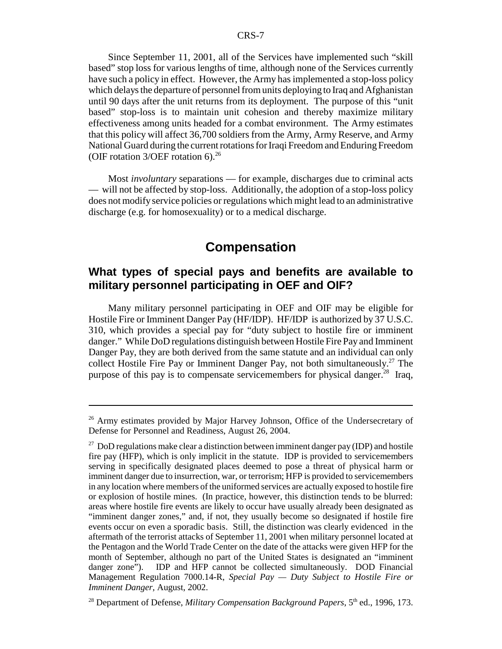Since September 11, 2001, all of the Services have implemented such "skill based" stop loss for various lengths of time, although none of the Services currently have such a policy in effect. However, the Army has implemented a stop-loss policy which delays the departure of personnel from units deploying to Iraq and Afghanistan until 90 days after the unit returns from its deployment. The purpose of this "unit based" stop-loss is to maintain unit cohesion and thereby maximize military effectiveness among units headed for a combat environment. The Army estimates that this policy will affect 36,700 soldiers from the Army, Army Reserve, and Army National Guard during the current rotations for Iraqi Freedom and Enduring Freedom (OIF rotation  $3/DEF$  rotation 6).<sup>26</sup>

Most *involuntary* separations — for example, discharges due to criminal acts — will not be affected by stop-loss. Additionally, the adoption of a stop-loss policy does not modify service policies or regulations which might lead to an administrative discharge (e.g. for homosexuality) or to a medical discharge.

# **Compensation**

## **What types of special pays and benefits are available to military personnel participating in OEF and OIF?**

Many military personnel participating in OEF and OIF may be eligible for Hostile Fire or Imminent Danger Pay (HF/IDP). HF/IDP is authorized by 37 U.S.C. 310, which provides a special pay for "duty subject to hostile fire or imminent danger." While DoD regulations distinguish between Hostile Fire Pay and Imminent Danger Pay, they are both derived from the same statute and an individual can only collect Hostile Fire Pay or Imminent Danger Pay, not both simultaneously.<sup>27</sup> The purpose of this pay is to compensate servicemembers for physical danger.<sup>28</sup> Iraq,

<sup>&</sup>lt;sup>26</sup> Army estimates provided by Major Harvey Johnson, Office of the Undersecretary of Defense for Personnel and Readiness, August 26, 2004.

 $27$  DoD regulations make clear a distinction between imminent danger pay (IDP) and hostile fire pay (HFP), which is only implicit in the statute. IDP is provided to servicemembers serving in specifically designated places deemed to pose a threat of physical harm or imminent danger due to insurrection, war, or terrorism; HFP is provided to servicemembers in any location where members of the uniformed services are actually exposed to hostile fire or explosion of hostile mines. (In practice, however, this distinction tends to be blurred: areas where hostile fire events are likely to occur have usually already been designated as "imminent danger zones," and, if not, they usually become so designated if hostile fire events occur on even a sporadic basis. Still, the distinction was clearly evidenced in the aftermath of the terrorist attacks of September 11, 2001 when military personnel located at the Pentagon and the World Trade Center on the date of the attacks were given HFP for the month of September, although no part of the United States is designated an "imminent danger zone"). IDP and HFP cannot be collected simultaneously. DOD Financial Management Regulation 7000.14-R, *Special Pay — Duty Subject to Hostile Fire or Imminent Danger*, August, 2002.

<sup>&</sup>lt;sup>28</sup> Department of Defense, *Military Compensation Background Papers*, 5<sup>th</sup> ed., 1996, 173.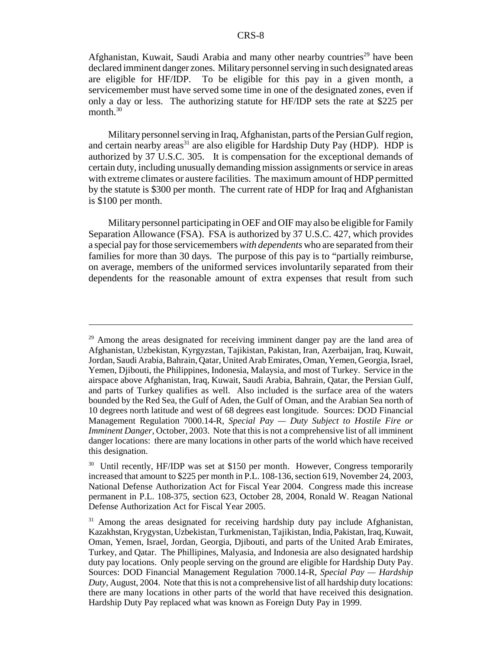Afghanistan, Kuwait, Saudi Arabia and many other nearby countries<sup>29</sup> have been declared imminent danger zones. Military personnel serving in such designated areas are eligible for HF/IDP. To be eligible for this pay in a given month, a servicemember must have served some time in one of the designated zones, even if only a day or less. The authorizing statute for HF/IDP sets the rate at \$225 per month.<sup>30</sup>

Military personnel serving in Iraq, Afghanistan, parts of the Persian Gulf region, and certain nearby areas<sup>31</sup> are also eligible for Hardship Duty Pay (HDP). HDP is authorized by 37 U.S.C. 305. It is compensation for the exceptional demands of certain duty, including unusually demanding mission assignments or service in areas with extreme climates or austere facilities. The maximum amount of HDP permitted by the statute is \$300 per month. The current rate of HDP for Iraq and Afghanistan is \$100 per month.

Military personnel participating in OEF and OIF may also be eligible for Family Separation Allowance (FSA). FSA is authorized by 37 U.S.C. 427, which provides a special pay for those servicemembers *with dependents* who are separated from their families for more than 30 days. The purpose of this pay is to "partially reimburse, on average, members of the uniformed services involuntarily separated from their dependents for the reasonable amount of extra expenses that result from such

<sup>&</sup>lt;sup>29</sup> Among the areas designated for receiving imminent danger pay are the land area of Afghanistan, Uzbekistan, Kyrgyzstan, Tajikistan, Pakistan, Iran, Azerbaijan, Iraq, Kuwait, Jordan, Saudi Arabia, Bahrain, Qatar, United Arab Emirates, Oman, Yemen, Georgia, Israel, Yemen, Djibouti, the Philippines, Indonesia, Malaysia, and most of Turkey. Service in the airspace above Afghanistan, Iraq, Kuwait, Saudi Arabia, Bahrain, Qatar, the Persian Gulf, and parts of Turkey qualifies as well. Also included is the surface area of the waters bounded by the Red Sea, the Gulf of Aden, the Gulf of Oman, and the Arabian Sea north of 10 degrees north latitude and west of 68 degrees east longitude. Sources: DOD Financial Management Regulation 7000.14-R, *Special Pay — Duty Subject to Hostile Fire or Imminent Danger*, October, 2003. Note that this is not a comprehensive list of all imminent danger locations: there are many locations in other parts of the world which have received this designation.

<sup>&</sup>lt;sup>30</sup> Until recently, HF/IDP was set at \$150 per month. However, Congress temporarily increased that amount to \$225 per month in P.L. 108-136, section 619, November 24, 2003, National Defense Authorization Act for Fiscal Year 2004. Congress made this increase permanent in P.L. 108-375, section 623, October 28, 2004, Ronald W. Reagan National Defense Authorization Act for Fiscal Year 2005.

 $31$  Among the areas designated for receiving hardship duty pay include Afghanistan, Kazakhstan, Krygystan, Uzbekistan, Turkmenistan, Tajikistan, India, Pakistan, Iraq, Kuwait, Oman, Yemen, Israel, Jordan, Georgia, Djibouti, and parts of the United Arab Emirates, Turkey, and Qatar. The Phillipines, Malyasia, and Indonesia are also designated hardship duty pay locations. Only people serving on the ground are eligible for Hardship Duty Pay. Sources: DOD Financial Management Regulation 7000.14-R, *Special Pay — Hardship Duty*, August, 2004. Note that this is not a comprehensive list of all hardship duty locations: there are many locations in other parts of the world that have received this designation. Hardship Duty Pay replaced what was known as Foreign Duty Pay in 1999.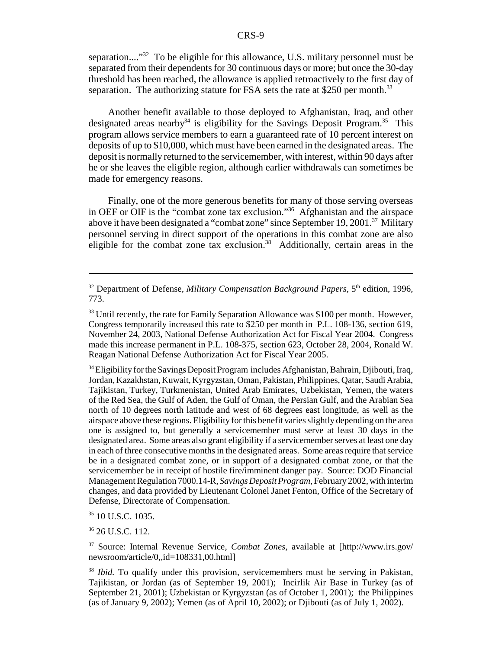separation...."<sup>32</sup> To be eligible for this allowance, U.S. military personnel must be separated from their dependents for 30 continuous days or more; but once the 30-day threshold has been reached, the allowance is applied retroactively to the first day of separation. The authorizing statute for FSA sets the rate at \$250 per month.<sup>33</sup>

Another benefit available to those deployed to Afghanistan, Iraq, and other designated areas nearby<sup>34</sup> is eligibility for the Savings Deposit Program.<sup>35</sup> This program allows service members to earn a guaranteed rate of 10 percent interest on deposits of up to \$10,000, which must have been earned in the designated areas. The deposit is normally returned to the servicemember, with interest, within 90 days after he or she leaves the eligible region, although earlier withdrawals can sometimes be made for emergency reasons.

Finally, one of the more generous benefits for many of those serving overseas in OEF or OIF is the "combat zone tax exclusion."36 Afghanistan and the airspace above it have been designated a "combat zone" since September 19, 2001.<sup>37</sup> Military personnel serving in direct support of the operations in this combat zone are also eligible for the combat zone tax exclusion.<sup>38</sup> Additionally, certain areas in the

<sup>34</sup> Eligibility for the Savings Deposit Program includes Afghanistan, Bahrain, Djibouti, Iraq, Jordan, Kazakhstan, Kuwait, Kyrgyzstan, Oman, Pakistan, Philippines, Qatar, Saudi Arabia, Tajikistan, Turkey, Turkmenistan, United Arab Emirates, Uzbekistan, Yemen, the waters of the Red Sea, the Gulf of Aden, the Gulf of Oman, the Persian Gulf, and the Arabian Sea north of 10 degrees north latitude and west of 68 degrees east longitude, as well as the airspace above these regions. Eligibility for this benefit varies slightly depending on the area one is assigned to, but generally a servicemember must serve at least 30 days in the designated area. Some areas also grant eligibility if a servicemember serves at least one day in each of three consecutive months in the designated areas. Some areas require that service be in a designated combat zone, or in support of a designated combat zone, or that the servicemember be in receipt of hostile fire/imminent danger pay. Source: DOD Financial Management Regulation 7000.14-R, *Savings Deposit Program*, February 2002, with interim changes, and data provided by Lieutenant Colonel Janet Fenton, Office of the Secretary of Defense, Directorate of Compensation.

<sup>35</sup> 10 U.S.C. 1035.

<sup>36</sup> 26 U.S.C. 112.

37 Source: Internal Revenue Service, *Combat Zones*, available at [http://www.irs.gov/ newsroom/article/0,,id=108331,00.html]

 $32$  Department of Defense, *Military Compensation Background Papers*,  $5<sup>th</sup>$  edition, 1996, 773.

<sup>&</sup>lt;sup>33</sup> Until recently, the rate for Family Separation Allowance was \$100 per month. However, Congress temporarily increased this rate to \$250 per month in P.L. 108-136, section 619, November 24, 2003, National Defense Authorization Act for Fiscal Year 2004. Congress made this increase permanent in P.L. 108-375, section 623, October 28, 2004, Ronald W. Reagan National Defense Authorization Act for Fiscal Year 2005.

<sup>&</sup>lt;sup>38</sup> *Ibid*. To qualify under this provision, servicemembers must be serving in Pakistan, Tajikistan, or Jordan (as of September 19, 2001); Incirlik Air Base in Turkey (as of September 21, 2001); Uzbekistan or Kyrgyzstan (as of October 1, 2001); the Philippines (as of January 9, 2002); Yemen (as of April 10, 2002); or Djibouti (as of July 1, 2002).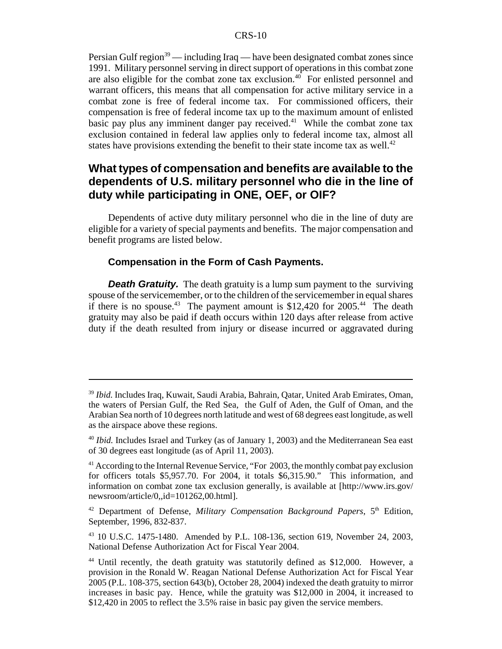Persian Gulf region<sup>39</sup> — including Iraq — have been designated combat zones since 1991. Military personnel serving in direct support of operations in this combat zone are also eligible for the combat zone tax exclusion.<sup>40</sup> For enlisted personnel and warrant officers, this means that all compensation for active military service in a combat zone is free of federal income tax. For commissioned officers, their compensation is free of federal income tax up to the maximum amount of enlisted basic pay plus any imminent danger pay received.<sup>41</sup> While the combat zone tax exclusion contained in federal law applies only to federal income tax, almost all states have provisions extending the benefit to their state income tax as well.<sup>42</sup>

## **What types of compensation and benefits are available to the dependents of U.S. military personnel who die in the line of duty while participating in ONE, OEF, or OIF?**

Dependents of active duty military personnel who die in the line of duty are eligible for a variety of special payments and benefits. The major compensation and benefit programs are listed below.

#### **Compensation in the Form of Cash Payments.**

**Death Gratuity.** The death gratuity is a lump sum payment to the surviving spouse of the servicemember, or to the children of the servicemember in equal shares if there is no spouse.<sup>43</sup> The payment amount is  $$12,420$  for 2005.<sup>44</sup> The death gratuity may also be paid if death occurs within 120 days after release from active duty if the death resulted from injury or disease incurred or aggravated during

<sup>39</sup> *Ibid.* Includes Iraq, Kuwait, Saudi Arabia, Bahrain, Qatar, United Arab Emirates, Oman, the waters of Persian Gulf, the Red Sea, the Gulf of Aden, the Gulf of Oman, and the Arabian Sea north of 10 degrees north latitude and west of 68 degrees east longitude, as well as the airspace above these regions.

<sup>40</sup> *Ibid.* Includes Israel and Turkey (as of January 1, 2003) and the Mediterranean Sea east of 30 degrees east longitude (as of April 11, 2003).

<sup>&</sup>lt;sup>41</sup> According to the Internal Revenue Service, "For 2003, the monthly combat pay exclusion for officers totals \$5,957.70. For 2004, it totals \$6,315.90." This information, and information on combat zone tax exclusion generally, is available at [http://www.irs.gov/ newsroom/article/0,,id=101262,00.html].

<sup>&</sup>lt;sup>42</sup> Department of Defense, *Military Compensation Background Papers*, 5<sup>th</sup> Edition, September, 1996, 832-837.

<sup>43 10</sup> U.S.C. 1475-1480. Amended by P.L. 108-136, section 619, November 24, 2003, National Defense Authorization Act for Fiscal Year 2004.

<sup>&</sup>lt;sup>44</sup> Until recently, the death gratuity was statutorily defined as \$12,000. However, a provision in the Ronald W. Reagan National Defense Authorization Act for Fiscal Year 2005 (P.L. 108-375, section 643(b), October 28, 2004) indexed the death gratuity to mirror increases in basic pay. Hence, while the gratuity was \$12,000 in 2004, it increased to \$12,420 in 2005 to reflect the 3.5% raise in basic pay given the service members.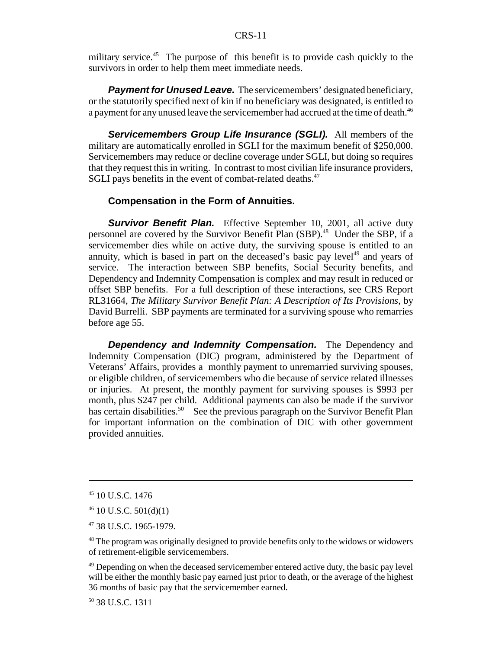military service.<sup>45</sup> The purpose of this benefit is to provide cash quickly to the survivors in order to help them meet immediate needs.

**Payment for Unused Leave.** The servicemembers' designated beneficiary, or the statutorily specified next of kin if no beneficiary was designated, is entitled to a payment for any unused leave the servicemember had accrued at the time of death.<sup>46</sup>

*Servicemembers Group Life Insurance (SGLI).* All members of the military are automatically enrolled in SGLI for the maximum benefit of \$250,000. Servicemembers may reduce or decline coverage under SGLI, but doing so requires that they request this in writing. In contrast to most civilian life insurance providers, SGLI pays benefits in the event of combat-related deaths.<sup>47</sup>

#### **Compensation in the Form of Annuities.**

**Survivor Benefit Plan.** Effective September 10, 2001, all active duty personnel are covered by the Survivor Benefit Plan (SBP).<sup>48</sup> Under the SBP, if a servicemember dies while on active duty, the surviving spouse is entitled to an annuity, which is based in part on the deceased's basic pay level<sup>49</sup> and years of service. The interaction between SBP benefits, Social Security benefits, and Dependency and Indemnity Compensation is complex and may result in reduced or offset SBP benefits. For a full description of these interactions, see CRS Report RL31664, *The Military Survivor Benefit Plan: A Description of Its Provisions*, by David Burrelli. SBP payments are terminated for a surviving spouse who remarries before age 55.

*Dependency and Indemnity Compensation.* The Dependency and Indemnity Compensation (DIC) program, administered by the Department of Veterans' Affairs, provides a monthly payment to unremarried surviving spouses, or eligible children, of servicemembers who die because of service related illnesses or injuries. At present, the monthly payment for surviving spouses is \$993 per month, plus \$247 per child. Additional payments can also be made if the survivor has certain disabilities.<sup>50</sup> See the previous paragraph on the Survivor Benefit Plan for important information on the combination of DIC with other government provided annuities.

50 38 U.S.C. 1311

 $45$  10 U.S.C. 1476

 $46$  10 U.S.C. 501(d)(1)

<sup>47 38</sup> U.S.C. 1965-1979.

<sup>&</sup>lt;sup>48</sup> The program was originally designed to provide benefits only to the widows or widowers of retirement-eligible servicemembers.

<sup>&</sup>lt;sup>49</sup> Depending on when the deceased servicemember entered active duty, the basic pay level will be either the monthly basic pay earned just prior to death, or the average of the highest 36 months of basic pay that the servicemember earned.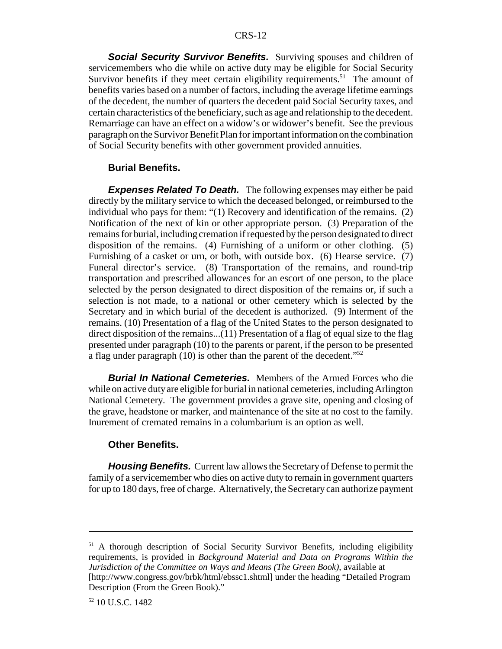**Social Security Survivor Benefits.** Surviving spouses and children of servicemembers who die while on active duty may be eligible for Social Security Survivor benefits if they meet certain eligibility requirements.<sup>51</sup> The amount of benefits varies based on a number of factors, including the average lifetime earnings of the decedent, the number of quarters the decedent paid Social Security taxes, and certain characteristics of the beneficiary, such as age and relationship to the decedent. Remarriage can have an effect on a widow's or widower's benefit. See the previous paragraph on the Survivor Benefit Plan for important information on the combination of Social Security benefits with other government provided annuities.

#### **Burial Benefits.**

*Expenses Related To Death.* The following expenses may either be paid directly by the military service to which the deceased belonged, or reimbursed to the individual who pays for them: "(1) Recovery and identification of the remains. (2) Notification of the next of kin or other appropriate person. (3) Preparation of the remains for burial, including cremation if requested by the person designated to direct disposition of the remains. (4) Furnishing of a uniform or other clothing. (5) Furnishing of a casket or urn, or both, with outside box. (6) Hearse service. (7) Funeral director's service. (8) Transportation of the remains, and round-trip transportation and prescribed allowances for an escort of one person, to the place selected by the person designated to direct disposition of the remains or, if such a selection is not made, to a national or other cemetery which is selected by the Secretary and in which burial of the decedent is authorized. (9) Interment of the remains. (10) Presentation of a flag of the United States to the person designated to direct disposition of the remains...(11) Presentation of a flag of equal size to the flag presented under paragraph (10) to the parents or parent, if the person to be presented a flag under paragraph (10) is other than the parent of the decedent."52

*Burial In National Cemeteries.* Members of the Armed Forces who die while on active duty are eligible for burial in national cemeteries, including Arlington National Cemetery. The government provides a grave site, opening and closing of the grave, headstone or marker, and maintenance of the site at no cost to the family. Inurement of cremated remains in a columbarium is an option as well.

#### **Other Benefits.**

*Housing Benefits.* Current law allows the Secretary of Defense to permit the family of a servicemember who dies on active duty to remain in government quarters for up to 180 days, free of charge. Alternatively, the Secretary can authorize payment

<sup>&</sup>lt;sup>51</sup> A thorough description of Social Security Survivor Benefits, including eligibility requirements, is provided in *Background Material and Data on Programs Within the Jurisdiction of the Committee on Ways and Means (The Green Book)*, available at [http://www.congress.gov/brbk/html/ebssc1.shtml] under the heading "Detailed Program Description (From the Green Book)."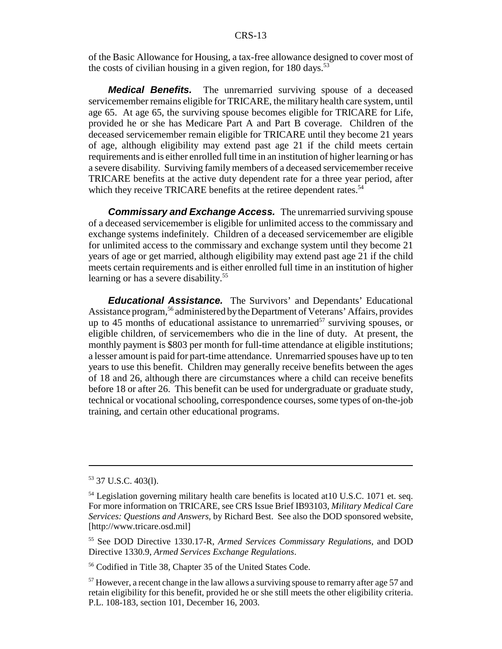of the Basic Allowance for Housing, a tax-free allowance designed to cover most of the costs of civilian housing in a given region, for  $180 \text{ days}$ .<sup>53</sup>

*Medical Benefits.* The unremarried surviving spouse of a deceased servicemember remains eligible for TRICARE, the military health care system, until age 65. At age 65, the surviving spouse becomes eligible for TRICARE for Life, provided he or she has Medicare Part A and Part B coverage. Children of the deceased servicemember remain eligible for TRICARE until they become 21 years of age, although eligibility may extend past age 21 if the child meets certain requirements and is either enrolled full time in an institution of higher learning or has a severe disability. Surviving family members of a deceased servicemember receive TRICARE benefits at the active duty dependent rate for a three year period, after which they receive TRICARE benefits at the retiree dependent rates.<sup>54</sup>

*Commissary and Exchange Access.* The unremarried surviving spouse of a deceased servicemember is eligible for unlimited access to the commissary and exchange systems indefinitely. Children of a deceased servicemember are eligible for unlimited access to the commissary and exchange system until they become 21 years of age or get married, although eligibility may extend past age 21 if the child meets certain requirements and is either enrolled full time in an institution of higher learning or has a severe disability.<sup>55</sup>

*Educational Assistance.* The Survivors' and Dependants' Educational Assistance program,<sup>56</sup> administered by the Department of Veterans' Affairs, provides up to 45 months of educational assistance to unremarried<sup>57</sup> surviving spouses, or eligible children, of servicemembers who die in the line of duty. At present, the monthly payment is \$803 per month for full-time attendance at eligible institutions; a lesser amount is paid for part-time attendance. Unremarried spouses have up to ten years to use this benefit. Children may generally receive benefits between the ages of 18 and 26, although there are circumstances where a child can receive benefits before 18 or after 26. This benefit can be used for undergraduate or graduate study, technical or vocational schooling, correspondence courses, some types of on-the-job training, and certain other educational programs.

<sup>53 37</sup> U.S.C. 403(l).

<sup>&</sup>lt;sup>54</sup> Legislation governing military health care benefits is located at 10 U.S.C. 1071 et. seq. For more information on TRICARE, see CRS Issue Brief IB93103, *Military Medical Care Services: Questions and Answers*, by Richard Best. See also the DOD sponsored website, [http://www.tricare.osd.mil]

<sup>55</sup> See DOD Directive 1330.17-R, *Armed Services Commissary Regulations*, and DOD Directive 1330.9, *Armed Services Exchange Regulations*.

<sup>56</sup> Codified in Title 38, Chapter 35 of the United States Code.

<sup>&</sup>lt;sup>57</sup> However, a recent change in the law allows a surviving spouse to remarry after age 57 and retain eligibility for this benefit, provided he or she still meets the other eligibility criteria. P.L. 108-183, section 101, December 16, 2003.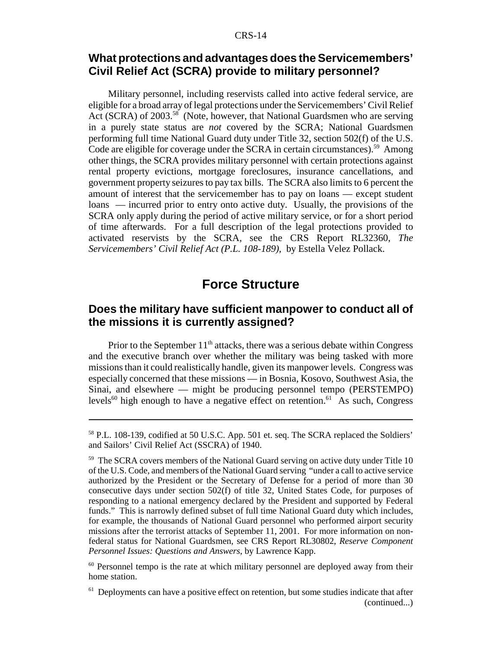#### **What protections and advantages does the Servicemembers' Civil Relief Act (SCRA) provide to military personnel?**

Military personnel, including reservists called into active federal service, are eligible for a broad array of legal protections under the Servicemembers' Civil Relief Act (SCRA) of 2003.<sup>58</sup> (Note, however, that National Guardsmen who are serving in a purely state status are *not* covered by the SCRA; National Guardsmen performing full time National Guard duty under Title 32, section 502(f) of the U.S. Code are eligible for coverage under the SCRA in certain circumstances).<sup>59</sup> Among other things, the SCRA provides military personnel with certain protections against rental property evictions, mortgage foreclosures, insurance cancellations, and government property seizures to pay tax bills. The SCRA also limits to 6 percent the amount of interest that the servicemember has to pay on loans — except student loans — incurred prior to entry onto active duty. Usually, the provisions of the SCRA only apply during the period of active military service, or for a short period of time afterwards. For a full description of the legal protections provided to activated reservists by the SCRA, see the CRS Report RL32360, *The Servicemembers' Civil Relief Act (P.L. 108-189)*, by Estella Velez Pollack.

# **Force Structure**

## **Does the military have sufficient manpower to conduct all of the missions it is currently assigned?**

Prior to the September  $11<sup>th</sup>$  attacks, there was a serious debate within Congress and the executive branch over whether the military was being tasked with more missions than it could realistically handle, given its manpower levels. Congress was especially concerned that these missions — in Bosnia, Kosovo, Southwest Asia, the Sinai, and elsewhere — might be producing personnel tempo (PERSTEMPO) levels<sup>60</sup> high enough to have a negative effect on retention.<sup>61</sup> As such, Congress

<sup>58</sup> P.L. 108-139, codified at 50 U.S.C. App. 501 et. seq. The SCRA replaced the Soldiers' and Sailors' Civil Relief Act (SSCRA) of 1940.

<sup>&</sup>lt;sup>59</sup> The SCRA covers members of the National Guard serving on active duty under Title 10 of the U.S. Code, and members of the National Guard serving "under a call to active service authorized by the President or the Secretary of Defense for a period of more than 30 consecutive days under section 502(f) of title 32, United States Code, for purposes of responding to a national emergency declared by the President and supported by Federal funds." This is narrowly defined subset of full time National Guard duty which includes, for example, the thousands of National Guard personnel who performed airport security missions after the terrorist attacks of September 11, 2001. For more information on nonfederal status for National Guardsmen, see CRS Report RL30802, *Reserve Component Personnel Issues: Questions and Answers*, by Lawrence Kapp.

<sup>&</sup>lt;sup>60</sup> Personnel tempo is the rate at which military personnel are deployed away from their home station.

 $61$  Deployments can have a positive effect on retention, but some studies indicate that after (continued...)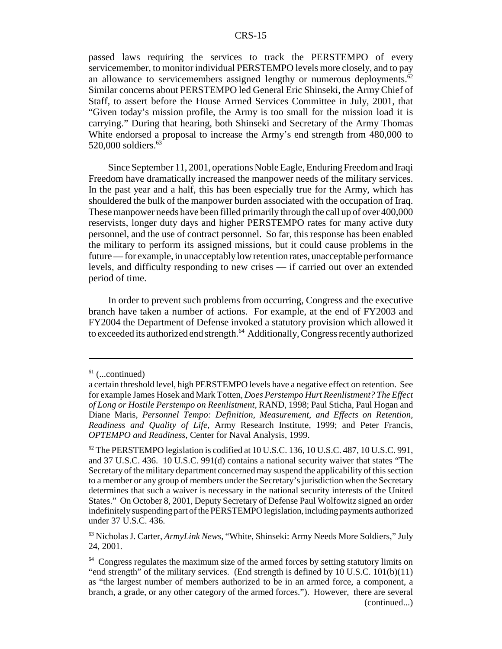passed laws requiring the services to track the PERSTEMPO of every servicemember, to monitor individual PERSTEMPO levels more closely, and to pay an allowance to servicemembers assigned lengthy or numerous deployments.<sup>62</sup> Similar concerns about PERSTEMPO led General Eric Shinseki, the Army Chief of Staff, to assert before the House Armed Services Committee in July, 2001, that "Given today's mission profile, the Army is too small for the mission load it is carrying." During that hearing, both Shinseki and Secretary of the Army Thomas White endorsed a proposal to increase the Army's end strength from 480,000 to 520,000 soldiers. $63$ 

Since September 11, 2001, operations Noble Eagle, Enduring Freedom and Iraqi Freedom have dramatically increased the manpower needs of the military services. In the past year and a half, this has been especially true for the Army, which has shouldered the bulk of the manpower burden associated with the occupation of Iraq. These manpower needs have been filled primarily through the call up of over 400,000 reservists, longer duty days and higher PERSTEMPO rates for many active duty personnel, and the use of contract personnel. So far, this response has been enabled the military to perform its assigned missions, but it could cause problems in the future — for example, in unacceptably low retention rates, unacceptable performance levels, and difficulty responding to new crises — if carried out over an extended period of time.

In order to prevent such problems from occurring, Congress and the executive branch have taken a number of actions. For example, at the end of FY2003 and FY2004 the Department of Defense invoked a statutory provision which allowed it to exceeded its authorized end strength.<sup>64</sup> Additionally, Congress recently authorized

 $61$  (...continued)

a certain threshold level, high PERSTEMPO levels have a negative effect on retention. See for example James Hosek and Mark Totten, *Does Perstempo Hurt Reenlistment? The Effect of Long or Hostile Perstempo on Reenlistment*, RAND, 1998; Paul Sticha, Paul Hogan and Diane Maris, *Personnel Tempo: Definition, Measurement, and Effects on Retention, Readiness and Quality of Life*, Army Research Institute, 1999; and Peter Francis, *OPTEMPO and Readiness*, Center for Naval Analysis, 1999.

 $62$  The PERSTEMPO legislation is codified at 10 U.S.C. 136, 10 U.S.C. 487, 10 U.S.C. 991, and 37 U.S.C. 436. 10 U.S.C. 991(d) contains a national security waiver that states "The Secretary of the military department concerned may suspend the applicability of this section to a member or any group of members under the Secretary's jurisdiction when the Secretary determines that such a waiver is necessary in the national security interests of the United States." On October 8, 2001, Deputy Secretary of Defense Paul Wolfowitz signed an order indefinitely suspending part of the PERSTEMPO legislation, including payments authorized under 37 U.S.C. 436.

<sup>63</sup> Nicholas J. Carter, *ArmyLink News*, "White, Shinseki: Army Needs More Soldiers," July 24, 2001.

 $64$  Congress regulates the maximum size of the armed forces by setting statutory limits on "end strength" of the military services. (End strength is defined by 10 U.S.C. 101(b)(11) as "the largest number of members authorized to be in an armed force, a component, a branch, a grade, or any other category of the armed forces."). However, there are several (continued...)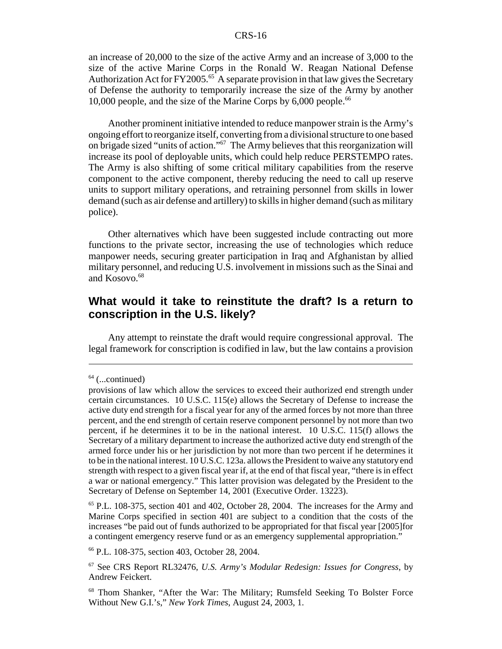an increase of 20,000 to the size of the active Army and an increase of 3,000 to the size of the active Marine Corps in the Ronald W. Reagan National Defense Authorization Act for  $FY2005$ .<sup>65</sup> A separate provision in that law gives the Secretary of Defense the authority to temporarily increase the size of the Army by another 10,000 people, and the size of the Marine Corps by  $6,000$  people.<sup>66</sup>

Another prominent initiative intended to reduce manpower strain is the Army's ongoing effort to reorganize itself, converting from a divisional structure to one based on brigade sized "units of action."67 The Army believes that this reorganization will increase its pool of deployable units, which could help reduce PERSTEMPO rates. The Army is also shifting of some critical military capabilities from the reserve component to the active component, thereby reducing the need to call up reserve units to support military operations, and retraining personnel from skills in lower demand (such as air defense and artillery) to skills in higher demand (such as military police).

Other alternatives which have been suggested include contracting out more functions to the private sector, increasing the use of technologies which reduce manpower needs, securing greater participation in Iraq and Afghanistan by allied military personnel, and reducing U.S. involvement in missions such as the Sinai and and Kosovo.<sup>68</sup>

#### **What would it take to reinstitute the draft? Is a return to conscription in the U.S. likely?**

Any attempt to reinstate the draft would require congressional approval. The legal framework for conscription is codified in law, but the law contains a provision

66 P.L. 108-375, section 403, October 28, 2004.

 $64$  (...continued)

provisions of law which allow the services to exceed their authorized end strength under certain circumstances. 10 U.S.C. 115(e) allows the Secretary of Defense to increase the active duty end strength for a fiscal year for any of the armed forces by not more than three percent, and the end strength of certain reserve component personnel by not more than two percent, if he determines it to be in the national interest. 10 U.S.C. 115(f) allows the Secretary of a military department to increase the authorized active duty end strength of the armed force under his or her jurisdiction by not more than two percent if he determines it to be in the national interest. 10 U.S.C. 123a. allows the President to waive any statutory end strength with respect to a given fiscal year if, at the end of that fiscal year, "there is in effect a war or national emergency." This latter provision was delegated by the President to the Secretary of Defense on September 14, 2001 (Executive Order. 13223).

 $<sup>65</sup>$  P.L. 108-375, section 401 and 402, October 28, 2004. The increases for the Army and</sup> Marine Corps specified in section 401 are subject to a condition that the costs of the increases "be paid out of funds authorized to be appropriated for that fiscal year [2005]for a contingent emergency reserve fund or as an emergency supplemental appropriation."

<sup>67</sup> See CRS Report RL32476, *U.S. Army's Modular Redesign: Issues for Congress*, by Andrew Feickert.

<sup>68</sup> Thom Shanker, "After the War: The Military; Rumsfeld Seeking To Bolster Force Without New G.I.'s," *New York Times*, August 24, 2003, 1.